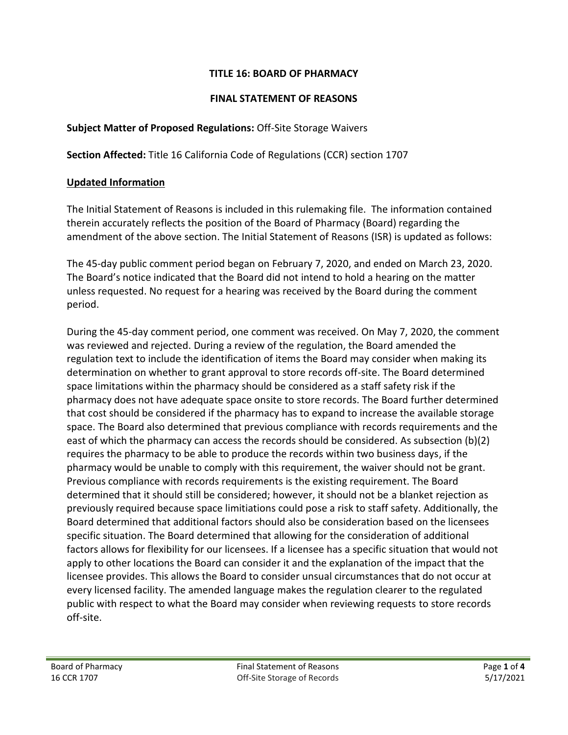#### **TITLE 16: BOARD OF PHARMACY**

#### **FINAL STATEMENT OF REASONS**

#### **Subject Matter of Proposed Regulations:** Off-Site Storage Waivers

**Section Affected:** Title 16 California Code of Regulations (CCR) section 1707

#### **Updated Information**

The Initial Statement of Reasons is included in this rulemaking file. The information contained therein accurately reflects the position of the Board of Pharmacy (Board) regarding the amendment of the above section. The Initial Statement of Reasons (ISR) is updated as follows:

The 45-day public comment period began on February 7, 2020, and ended on March 23, 2020. The Board's notice indicated that the Board did not intend to hold a hearing on the matter unless requested. No request for a hearing was received by the Board during the comment period.

During the 45-day comment period, one comment was received. On May 7, 2020, the comment was reviewed and rejected. During a review of the regulation, the Board amended the regulation text to include the identification of items the Board may consider when making its determination on whether to grant approval to store records off-site. The Board determined space limitations within the pharmacy should be considered as a staff safety risk if the pharmacy does not have adequate space onsite to store records. The Board further determined that cost should be considered if the pharmacy has to expand to increase the available storage space. The Board also determined that previous compliance with records requirements and the east of which the pharmacy can access the records should be considered. As subsection (b)(2) requires the pharmacy to be able to produce the records within two business days, if the pharmacy would be unable to comply with this requirement, the waiver should not be grant. Previous compliance with records requirements is the existing requirement. The Board determined that it should still be considered; however, it should not be a blanket rejection as previously required because space limitiations could pose a risk to staff safety. Additionally, the Board determined that additional factors should also be consideration based on the licensees specific situation. The Board determined that allowing for the consideration of additional factors allows for flexibility for our licensees. If a licensee has a specific situation that would not apply to other locations the Board can consider it and the explanation of the impact that the licensee provides. This allows the Board to consider unsual circumstances that do not occur at every licensed facility. The amended language makes the regulation clearer to the regulated public with respect to what the Board may consider when reviewing requests to store records off-site.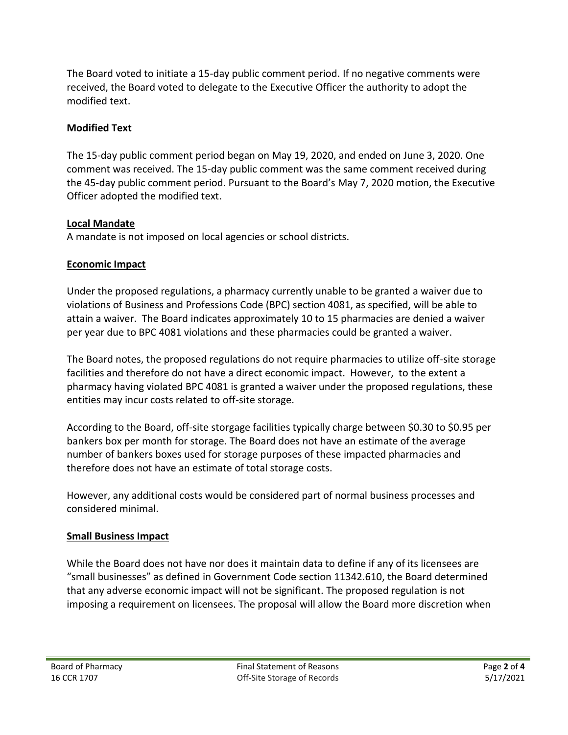The Board voted to initiate a 15-day public comment period. If no negative comments were received, the Board voted to delegate to the Executive Officer the authority to adopt the modified text.

#### **Modified Text**

The 15-day public comment period began on May 19, 2020, and ended on June 3, 2020. One comment was received. The 15-day public comment was the same comment received during the 45-day public comment period. Pursuant to the Board's May 7, 2020 motion, the Executive Officer adopted the modified text.

# **Local Mandate**

A mandate is not imposed on local agencies or school districts.

# **Economic Impact**

Under the proposed regulations, a pharmacy currently unable to be granted a waiver due to violations of Business and Professions Code (BPC) section 4081, as specified, will be able to attain a waiver. The Board indicates approximately 10 to 15 pharmacies are denied a waiver per year due to BPC 4081 violations and these pharmacies could be granted a waiver.

The Board notes, the proposed regulations do not require pharmacies to utilize off-site storage facilities and therefore do not have a direct economic impact. However, to the extent a pharmacy having violated BPC 4081 is granted a waiver under the proposed regulations, these entities may incur costs related to off-site storage.

According to the Board, off-site storgage facilities typically charge between \$0.30 to \$0.95 per bankers box per month for storage. The Board does not have an estimate of the average number of bankers boxes used for storage purposes of these impacted pharmacies and therefore does not have an estimate of total storage costs.

However, any additional costs would be considered part of normal business processes and considered minimal.

# **Small Business Impact**

While the Board does not have nor does it maintain data to define if any of its licensees are "small businesses" as defined in Government Code section 11342.610, the Board determined that any adverse economic impact will not be significant. The proposed regulation is not imposing a requirement on licensees. The proposal will allow the Board more discretion when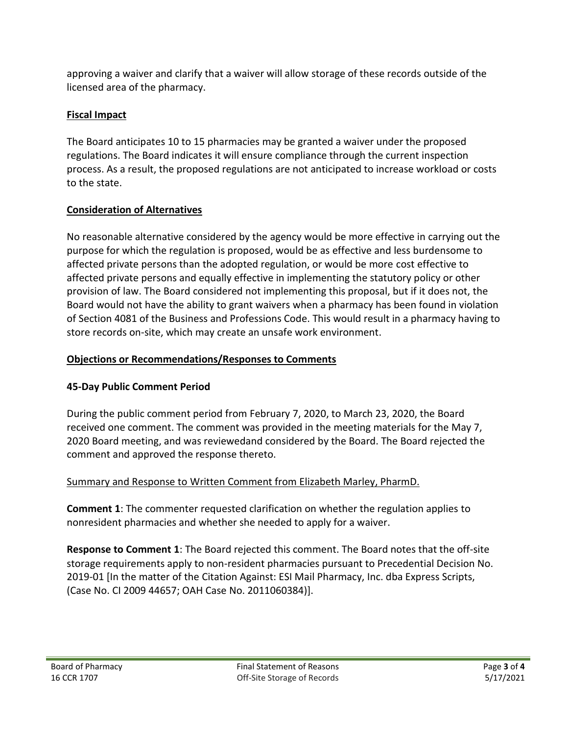approving a waiver and clarify that a waiver will allow storage of these records outside of the licensed area of the pharmacy.

# **Fiscal Impact**

The Board anticipates 10 to 15 pharmacies may be granted a waiver under the proposed regulations. The Board indicates it will ensure compliance through the current inspection process. As a result, the proposed regulations are not anticipated to increase workload or costs to the state.

# **Consideration of Alternatives**

No reasonable alternative considered by the agency would be more effective in carrying out the purpose for which the regulation is proposed, would be as effective and less burdensome to affected private persons than the adopted regulation, or would be more cost effective to affected private persons and equally effective in implementing the statutory policy or other provision of law. The Board considered not implementing this proposal, but if it does not, the Board would not have the ability to grant waivers when a pharmacy has been found in violation of Section 4081 of the Business and Professions Code. This would result in a pharmacy having to store records on-site, which may create an unsafe work environment.

# **Objections or Recommendations/Responses to Comments**

# **45-Day Public Comment Period**

During the public comment period from February 7, 2020, to March 23, 2020, the Board received one comment. The comment was provided in the meeting materials for the May 7, 2020 Board meeting, and was reviewedand considered by the Board. The Board rejected the comment and approved the response thereto.

# Summary and Response to Written Comment from Elizabeth Marley, PharmD.

**Comment 1**: The commenter requested clarification on whether the regulation applies to nonresident pharmacies and whether she needed to apply for a waiver.

**Response to Comment 1**: The Board rejected this comment. The Board notes that the off-site storage requirements apply to non-resident pharmacies pursuant to Precedential Decision No. 2019-01 [In the matter of the Citation Against: ESI Mail Pharmacy, Inc. dba Express Scripts, (Case No. CI 2009 44657; OAH Case No. 2011060384)].